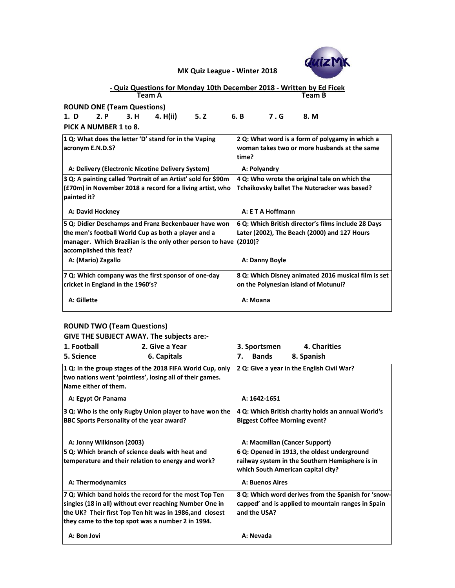| 1 Q: In the group stages of the 2018 FIFA World Cup, only $\vert$ 2 Q: Give a year in the English Civil War? |  |
|--------------------------------------------------------------------------------------------------------------|--|
| two nations went 'pointless', losing all of their games.                                                     |  |
| Name either of them.                                                                                         |  |
|                                                                                                              |  |

# **ROUND TWO (Team Questions)**

**GIVE THE SUBJECT AWAY. The subjects are:-**

| - Quiz Questions for Monday 10th December 2018 - Written by Ed Ficek<br>Team A | <b>Team B</b>                                                       |
|--------------------------------------------------------------------------------|---------------------------------------------------------------------|
|                                                                                |                                                                     |
| <b>ROUND ONE (Team Questions)</b>                                              |                                                                     |
| 2. P<br>3. H<br>4. H(ii)<br>5.2<br>1. D                                        | 6. B<br>7.6<br>8. M                                                 |
| PICK A NUMBER 1 to 8.                                                          |                                                                     |
| 1 Q: What does the letter 'D' stand for in the Vaping                          | 2 Q: What word is a form of polygamy in which a                     |
| acronym E.N.D.S?                                                               | woman takes two or more husbands at the same                        |
|                                                                                | time?                                                               |
| A: Delivery (Electronic Nicotine Delivery System)                              | A: Polyandry                                                        |
| 3 Q: A painting called 'Portrait of an Artist' sold for \$90m                  | 4 Q: Who wrote the original tale on which the                       |
| $ $ (£70m) in November 2018 a record for a living artist, who                  | <b>Tchaikovsky ballet The Nutcracker was based?</b>                 |
| painted it?                                                                    |                                                                     |
| <b>A: David Hockney</b>                                                        | A: E T A Hoffmann                                                   |
| 5 Q: Didier Deschamps and Franz Beckenbauer have won                           | 6 Q: Which British director's films include 28 Days                 |
| the men's football World Cup as both a player and a                            | Later (2002), The Beach (2000) and 127 Hours                        |
| manager. Which Brazilian is the only other person to have (2010)?              |                                                                     |
| accomplished this feat?                                                        |                                                                     |
| A: (Mario) Zagallo                                                             | A: Danny Boyle                                                      |
| 7 Q: Which company was the first sponsor of one-day                            | $\vert$ 8 Q: Which Disney animated 2016 musical film is set $\vert$ |
| cricket in England in the 1960's?                                              | on the Polynesian island of Motunui?                                |
| A: Gillette                                                                    | A: Moana                                                            |

| 1. Football | <b>2. Give a Year</b> | 3. Sportsmen | 4. Charities |
|-------------|-----------------------|--------------|--------------|
| 5. Science  | 6. Capitals           | 7. Bands     | 8. Spanish   |

| A: Egypt Or Panama                                       | A: 1642-1651                                        |
|----------------------------------------------------------|-----------------------------------------------------|
| 3 Q: Who is the only Rugby Union player to have won the  | 4 Q: Which British charity holds an annual World's  |
| <b>BBC Sports Personality of the year award?</b>         | <b>Biggest Coffee Morning event?</b>                |
| A: Jonny Wilkinson (2003)                                | A: Macmillan (Cancer Support)                       |
| 5 Q: Which branch of science deals with heat and         | 6 Q: Opened in 1913, the oldest underground         |
| temperature and their relation to energy and work?       | railway system in the Southern Hemisphere is in     |
|                                                          | which South American capital city?                  |
| A: Thermodynamics                                        | <b>A: Buenos Aires</b>                              |
| 7 Q: Which band holds the record for the most Top Ten    | 8 Q: Which word derives from the Spanish for 'snow- |
| singles (18 in all) without ever reaching Number One in  | capped' and is applied to mountain ranges in Spain  |
| the UK? Their first Top Ten hit was in 1986, and closest | and the USA?                                        |
| they came to the top spot was a number 2 in 1994.        |                                                     |
| A: Bon Jovi                                              | A: Nevada                                           |

**MK Quiz League - Winter 2018**

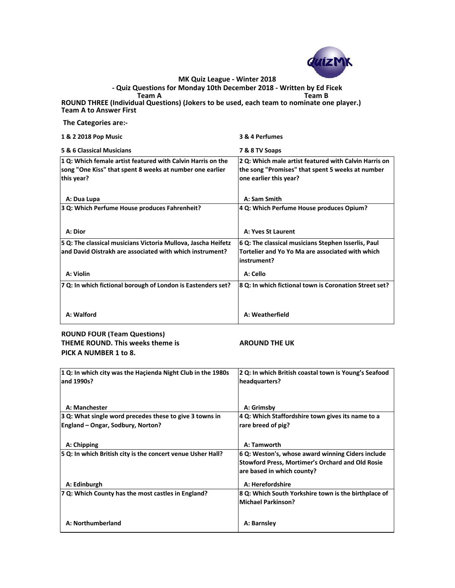**The Categories are:-**

| <b>1 &amp; 2 2018 Pop Music</b> | 3 & 4 Perfumes         |
|---------------------------------|------------------------|
| 5 R. A Claccical Musicians      | <b>7 R. R TV Soans</b> |

| אס פון ואוויוואונגאוט ס                                                                                                 | <b>1 &amp; O I V JUANS</b>                                                                                |
|-------------------------------------------------------------------------------------------------------------------------|-----------------------------------------------------------------------------------------------------------|
| 1 Q: Which female artist featured with Calvin Harris on the<br>song "One Kiss" that spent 8 weeks at number one earlier | 2 Q: Which male artist featured with Calvin Harris on<br>the song "Promises" that spent 5 weeks at number |
| this year?                                                                                                              | one earlier this year?                                                                                    |
| A: Dua Lupa                                                                                                             | A: Sam Smith                                                                                              |
| 3 Q: Which Perfume House produces Fahrenheit?                                                                           | 4 Q: Which Perfume House produces Opium?                                                                  |
| A: Dior                                                                                                                 | <b>A: Yves St Laurent</b>                                                                                 |
| 5 Q: The classical musicians Victoria Mullova, Jascha Heifetz                                                           | 6 Q: The classical musicians Stephen Isserlis, Paul                                                       |
| and David Oistrakh are associated with which instrument?                                                                | Tortelier and Yo Yo Ma are associated with which<br>instrument?                                           |
| A: Violin                                                                                                               | A: Cello                                                                                                  |
| 7 Q: In which fictional borough of London is Eastenders set?                                                            | 8 Q: In which fictional town is Coronation Street set?                                                    |
| A: Walford                                                                                                              | A: Weatherfield                                                                                           |

**Team A Team B ROUND THREE (Individual Questions) (Jokers to be used, each team to nominate one player.) Team A to Answer First - Quiz Questions for Monday 10th December 2018 - Written by Ed Ficek**

**ROUND FOUR (Team Questions) THEME ROUND. This weeks theme is AROUND THE UK PICK A NUMBER 1 to 8.**

| $ 1 Q$ : In which city was the Hacienda Night Club in the 1980s $ 2 Q$ : In which British coastal town is Young's Seafood |               |
|---------------------------------------------------------------------------------------------------------------------------|---------------|
| and 1990s?                                                                                                                | headquarters? |

| A: Manchester                                               | A: Grimsby                                                                                                                                 |
|-------------------------------------------------------------|--------------------------------------------------------------------------------------------------------------------------------------------|
| $ 3 Q$ : What single word precedes these to give 3 towns in | 4 Q: Which Staffordshire town gives its name to a                                                                                          |
| <b>England - Ongar, Sodbury, Norton?</b>                    | rare breed of pig?                                                                                                                         |
| A: Chipping                                                 | A: Tamworth                                                                                                                                |
| 5 Q: In which British city is the concert venue Usher Hall? | 6 Q: Weston's, whose award winning Ciders include<br><b>Stowford Press, Mortimer's Orchard and Old Rosie</b><br>are based in which county? |
| A: Edinburgh                                                | A: Herefordshire                                                                                                                           |
| 7 Q: Which County has the most castles in England?          | 8 Q: Which South Yorkshire town is the birthplace of<br>Michael Parkinson?                                                                 |
| A: Northumberland                                           | A: Barnsley                                                                                                                                |



**MK Quiz League - Winter 2018**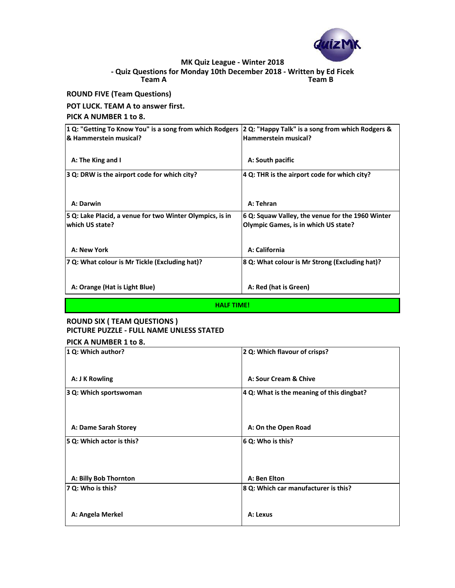# **ROUND FIVE (Team Questions)**

#### **POT LUCK. TEAM A to answer first.**

#### **PICK A NUMBER 1 to 8.**

| 2 Q: Which flavour of crisps?                 |
|-----------------------------------------------|
| A: Sour Cream & Chive                         |
| $ 4 Q$ : What is the meaning of this dingbat? |
|                                               |

| <b>A: Dame Sarah Storey</b>  | A: On the Open Road                  |
|------------------------------|--------------------------------------|
| 5 Q: Which actor is this?    | $ 6 Q:$ Who is this?                 |
| <b>A: Billy Bob Thornton</b> | A: Ben Elton                         |
| $ 7 Q:$ Who is this?         | 8 Q: Which car manufacturer is this? |
| A: Angela Merkel             | A: Lexus                             |

| 1 Q: "Getting To Know You" is a song from which Rodgers<br><b>8 Hammerstein musical?</b> | 2 Q: "Happy Talk" is a song from which Rodgers &<br>Hammerstein musical?                        |
|------------------------------------------------------------------------------------------|-------------------------------------------------------------------------------------------------|
| A: The King and I                                                                        | A: South pacific                                                                                |
| 3 Q: DRW is the airport code for which city?                                             | 4 Q: THR is the airport code for which city?                                                    |
|                                                                                          |                                                                                                 |
| A: Darwin                                                                                | A: Tehran                                                                                       |
| 5 Q: Lake Placid, a venue for two Winter Olympics, is in<br><b>which US state?</b>       | 6 Q: Squaw Valley, the venue for the 1960 Winter<br><b>Olympic Games, is in which US state?</b> |
| A: New York                                                                              | A: California                                                                                   |
| 7 Q: What colour is Mr Tickle (Excluding hat)?                                           | 8 Q: What colour is Mr Strong (Excluding hat)?                                                  |
| A: Orange (Hat is Light Blue)                                                            | A: Red (hat is Green)                                                                           |



### **Team A Team B - Quiz Questions for Monday 10th December 2018 - Written by Ed Ficek MK Quiz League - Winter 2018**

# **ROUND SIX ( TEAM QUESTIONS ) PICTURE PUZZLE - FULL NAME UNLESS STATED**

#### **PICK A NUMBER 1 to 8.**

#### **HALF TIME!**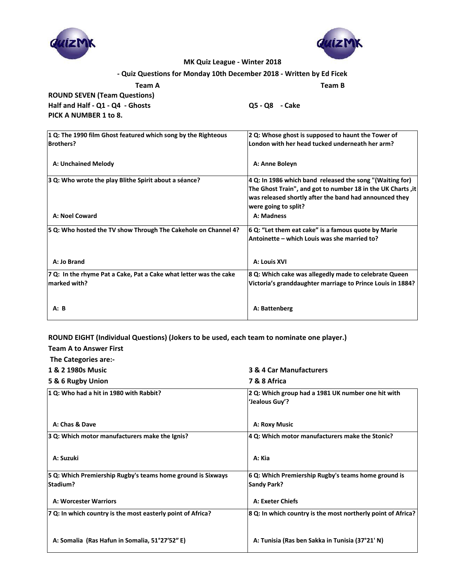**Team A Team B**

**ROUND SEVEN (Team Questions) Half and Half - Q1 - Q4 - Ghosts Q5 - Q8 - Cake PICK A NUMBER 1 to 8.**

| 1 Q: The 1990 film Ghost featured which song by the Righteous     | 2 Q: Whose ghost is supposed to haunt the Tower of          |
|-------------------------------------------------------------------|-------------------------------------------------------------|
| <b>Brothers?</b>                                                  | London with her head tucked underneath her arm?             |
|                                                                   |                                                             |
| <b>A: Unchained Melody</b>                                        | A: Anne Boleyn                                              |
| 3 Q: Who wrote the play Blithe Spirit about a séance?             | 4 Q: In 1986 which band released the song "(Waiting for)    |
|                                                                   | The Ghost Train", and got to number 18 in the UK Charts, it |
|                                                                   | was released shortly after the band had announced they      |
|                                                                   | were going to split?                                        |
| A: Noel Coward                                                    | A: Madness                                                  |
| 5 Q: Who hosted the TV show Through The Cakehole on Channel 4?    | 6 Q: "Let them eat cake" is a famous quote by Marie         |
|                                                                   | Antoinette – which Louis was she married to?                |
|                                                                   |                                                             |
| A: Jo Brand                                                       | A: Louis XVI                                                |
| 7 Q: In the rhyme Pat a Cake, Pat a Cake what letter was the cake | 8 Q: Which cake was allegedly made to celebrate Queen       |
| marked with?                                                      | Victoria's granddaughter marriage to Prince Louis in 1884?  |
|                                                                   |                                                             |
| A: B                                                              | A: Battenberg                                               |
|                                                                   |                                                             |

**ROUND EIGHT (Individual Questions) (Jokers to be used, each team to nominate one player.)**

**Team A to Answer First**

 **The Categories are:-**

**1 & 2 1980s Music 3 & 4 Car Manufacturers**

- 
- **5 & 6 Rugby Union 7 & 8 Africa**

| 1 Q: Who had a hit in 1980 with Rabbit?                     | 2 Q: Which group had a 1981 UK number one hit with           |
|-------------------------------------------------------------|--------------------------------------------------------------|
|                                                             | 'Jealous Guy'?                                               |
|                                                             |                                                              |
| A: Chas & Dave                                              |                                                              |
|                                                             | <b>A: Roxy Music</b>                                         |
| 3 Q: Which motor manufacturers make the Ignis?              | 4 Q: Which motor manufacturers make the Stonic?              |
|                                                             |                                                              |
| A: Suzuki                                                   | A: Kia                                                       |
|                                                             |                                                              |
| 5 Q: Which Premiership Rugby's teams home ground is Sixways | 6 Q: Which Premiership Rugby's teams home ground is          |
| <b>Stadium?</b>                                             | <b>Sandy Park?</b>                                           |
|                                                             |                                                              |
| <b>A: Worcester Warriors</b>                                | <b>A: Exeter Chiefs</b>                                      |
| 7 Q: In which country is the most easterly point of Africa? | 8 Q: In which country is the most northerly point of Africa? |
|                                                             |                                                              |
|                                                             |                                                              |
| A: Somalia (Ras Hafun in Somalia, 51°27′52″E)               | A: Tunisia (Ras ben Sakka in Tunisia (37°21′ N)              |
|                                                             |                                                              |

# **- Quiz Questions for Monday 10th December 2018 - Written by Ed Ficek**





### **MK Quiz League - Winter 2018**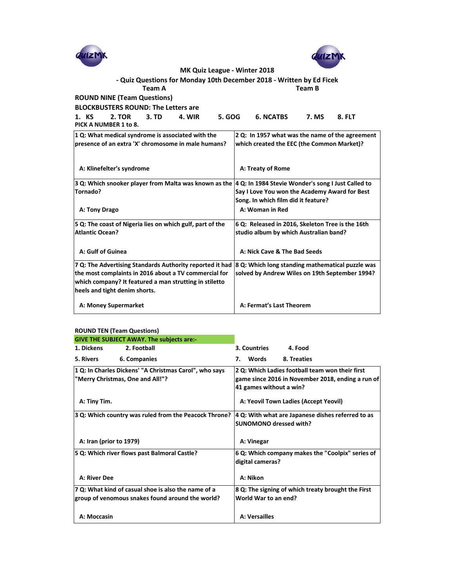| <b>MK Quiz League - Winter 2018</b>                                                                       |                                                   |
|-----------------------------------------------------------------------------------------------------------|---------------------------------------------------|
| - Quiz Questions for Monday 10th December 2018 - Written by Ed Ficek                                      |                                                   |
| Team A                                                                                                    | <b>Team B</b>                                     |
| <b>ROUND NINE (Team Questions)</b>                                                                        |                                                   |
|                                                                                                           |                                                   |
| <b>BLOCKBUSTERS ROUND: The Letters are</b>                                                                |                                                   |
| <b>5. GOG</b><br>1. KS<br><b>2. TOR</b><br><b>3. TD</b><br>4. WIR<br>PICK A NUMBER 1 to 8.                | <b>6. NCATBS</b><br><b>7. MS</b><br><b>8. FLT</b> |
| 1 Q: What medical syndrome is associated with the                                                         | 2 Q: In 1957 what was the name of the agreement   |
| presence of an extra 'X' chromosome in male humans?                                                       | which created the EEC (the Common Market)?        |
|                                                                                                           |                                                   |
| A: Klinefelter's syndrome                                                                                 | A: Treaty of Rome                                 |
| 3 Q: Which snooker player from Malta was known as the  4 Q: In 1984 Stevie Wonder's song I Just Called to |                                                   |
| Tornado?                                                                                                  | Say I Love You won the Academy Award for Best     |
|                                                                                                           | Song. In which film did it feature?               |
| A: Tony Drago                                                                                             | A: Woman in Red                                   |
|                                                                                                           |                                                   |
| 5 Q: The coast of Nigeria lies on which gulf, part of the                                                 | 6 Q: Released in 2016, Skeleton Tree is the 16th  |
| <b>Atlantic Ocean?</b>                                                                                    | studio album by which Australian band?            |
|                                                                                                           |                                                   |
| A: Gulf of Guinea                                                                                         | A: Nick Cave & The Bad Seeds                      |
| 7 Q: The Advertising Standards Authority reported it had                                                  | 8 Q: Which long standing mathematical puzzle was  |
| the most complaints in 2016 about a TV commercial for                                                     | solved by Andrew Wiles on 19th September 1994?    |
| which company? It featured a man strutting in stiletto                                                    |                                                   |
| heels and tight denim shorts.                                                                             |                                                   |
| <b>A: Money Supermarket</b>                                                                               | A: Fermat's Last Theorem                          |
|                                                                                                           |                                                   |

|                  | <b>ROUND TEN (Team Questions)</b>                      |                    |                                                 |
|------------------|--------------------------------------------------------|--------------------|-------------------------------------------------|
|                  | <b>GIVE THE SUBJECT AWAY. The subjects are:-</b>       |                    |                                                 |
| 1. Dickens       | 2. Football                                            | 3. Countries       | 4. Food                                         |
| <b>5. Rivers</b> | 6. Companies                                           | <b>Words</b><br>7. | 8. Treaties                                     |
|                  | 1 Q: In Charles Dickens' "A Christmas Carol", who says |                    | 2 Q: Which Ladies football team won their first |

| "Merry Christmas, One and All!"?                                                                        | game since 2016 in November 2018, ending a run of<br>$ 41$ games without a win?    |
|---------------------------------------------------------------------------------------------------------|------------------------------------------------------------------------------------|
| A: Tiny Tim.                                                                                            | A: Yeovil Town Ladies (Accept Yeovil)                                              |
| 3 Q: Which country was ruled from the Peacock Throne?                                                   | 4 Q: With what are Japanese dishes referred to as<br><b>SUNOMONO dressed with?</b> |
| A: Iran (prior to 1979)                                                                                 | A: Vinegar                                                                         |
| 5 Q: Which river flows past Balmoral Castle?                                                            | 6 Q: Which company makes the "Coolpix" series of<br>digital cameras?               |
| <b>A: River Dee</b>                                                                                     | A: Nikon                                                                           |
| 7 Q: What kind of casual shoe is also the name of a<br>group of venomous snakes found around the world? | 8 Q: The signing of which treaty brought the First<br>World War to an end?         |
| A: Moccasin                                                                                             | A: Versailles                                                                      |